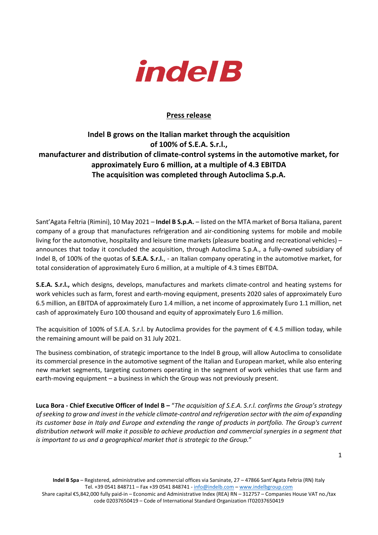

## **Press release**

## **Indel B grows on the Italian market through the acquisition of 100% of S.E.A. S.r.l., manufacturer and distribution of climate-control systems in the automotive market, for approximately Euro 6 million, at a multiple of 4.3 EBITDA The acquisition was completed through Autoclima S.p.A.**

Sant'Agata Feltria (Rimini), 10 May 2021 – **Indel B S.p.A.** – listed on the MTA market of Borsa Italiana, parent company of a group that manufactures refrigeration and air-conditioning systems for mobile and mobile living for the automotive, hospitality and leisure time markets (pleasure boating and recreational vehicles) – announces that today it concluded the acquisition, through Autoclima S.p.A., a fully-owned subsidiary of Indel B, of 100% of the quotas of **S.E.A. S.r.l.**, - an Italian company operating in the automotive market, for total consideration of approximately Euro 6 million, at a multiple of 4.3 times EBITDA.

**S.E.A. S.r.l.,** which designs, develops, manufactures and markets climate-control and heating systems for work vehicles such as farm, forest and earth-moving equipment, presents 2020 sales of approximately Euro 6.5 million, an EBITDA of approximately Euro 1.4 million, a net income of approximately Euro 1.1 million, net cash of approximately Euro 100 thousand and equity of approximately Euro 1.6 million.

The acquisition of 100% of S.E.A. S.r.l. by Autoclima provides for the payment of  $\epsilon$  4.5 million today, while the remaining amount will be paid on 31 July 2021.

The business combination, of strategic importance to the Indel B group, will allow Autoclima to consolidate its commercial presence in the automotive segment of the Italian and European market, while also entering new market segments, targeting customers operating in the segment of work vehicles that use farm and earth-moving equipment – a business in which the Group was not previously present.

**Luca Bora - Chief Executive Officer of Indel B –** "*The acquisition of S.E.A. S.r.l. confirms the Group's strategy of seeking to grow and invest in the vehicle climate-control and refrigeration sector with the aim of expanding its customer base in Italy and Europe and extending the range of products in portfolio. The Group's current distribution network will make it possible to achieve production and commercial synergies in a segment that is important to us and a geographical market that is strategic to the Group.*"